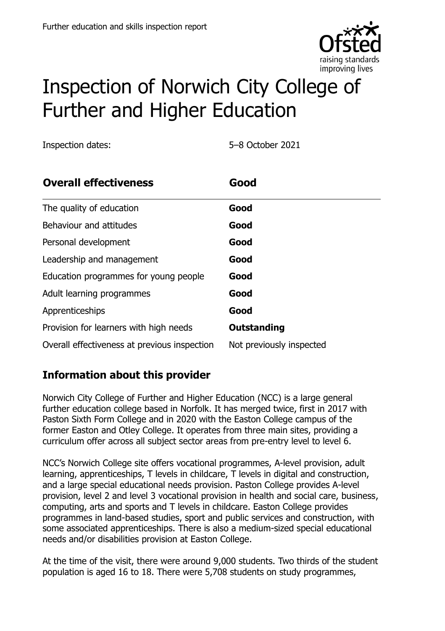

# Inspection of Norwich City College of Further and Higher Education

Inspection dates: 5–8 October 2021

| <b>Overall effectiveness</b>                 | Good                     |
|----------------------------------------------|--------------------------|
| The quality of education                     | Good                     |
| Behaviour and attitudes                      | Good                     |
| Personal development                         | Good                     |
| Leadership and management                    | Good                     |
| Education programmes for young people        | Good                     |
| Adult learning programmes                    | Good                     |
| Apprenticeships                              | Good                     |
| Provision for learners with high needs       | <b>Outstanding</b>       |
| Overall effectiveness at previous inspection | Not previously inspected |

# **Information about this provider**

Norwich City College of Further and Higher Education (NCC) is a large general further education college based in Norfolk. It has merged twice, first in 2017 with Paston Sixth Form College and in 2020 with the Easton College campus of the former Easton and Otley College. It operates from three main sites, providing a curriculum offer across all subject sector areas from pre-entry level to level 6.

NCC's Norwich College site offers vocational programmes, A-level provision, adult learning, apprenticeships, T levels in childcare, T levels in digital and construction, and a large special educational needs provision. Paston College provides A-level provision, level 2 and level 3 vocational provision in health and social care, business, computing, arts and sports and T levels in childcare. Easton College provides programmes in land-based studies, sport and public services and construction, with some associated apprenticeships. There is also a medium-sized special educational needs and/or disabilities provision at Easton College.

At the time of the visit, there were around 9,000 students. Two thirds of the student population is aged 16 to 18. There were 5,708 students on study programmes,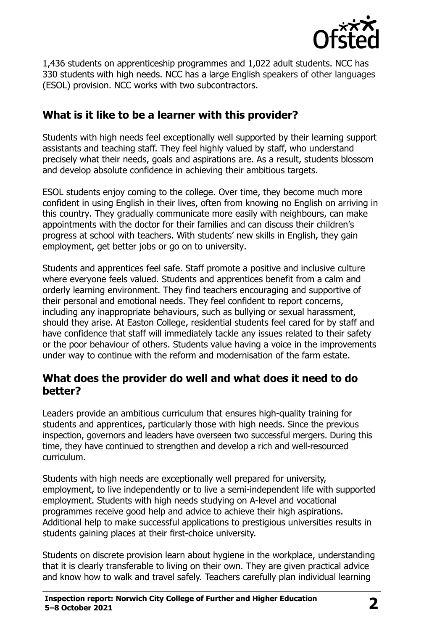

1,436 students on apprenticeship programmes and 1,022 adult students. NCC has 330 students with high needs. NCC has a large English speakers of other languages (ESOL) provision. NCC works with two subcontractors.

### **What is it like to be a learner with this provider?**

Students with high needs feel exceptionally well supported by their learning support assistants and teaching staff. They feel highly valued by staff, who understand precisely what their needs, goals and aspirations are. As a result, students blossom and develop absolute confidence in achieving their ambitious targets.

ESOL students enjoy coming to the college. Over time, they become much more confident in using English in their lives, often from knowing no English on arriving in this country. They gradually communicate more easily with neighbours, can make appointments with the doctor for their families and can discuss their children's progress at school with teachers. With students' new skills in English, they gain employment, get better jobs or go on to university.

Students and apprentices feel safe. Staff promote a positive and inclusive culture where everyone feels valued. Students and apprentices benefit from a calm and orderly learning environment. They find teachers encouraging and supportive of their personal and emotional needs. They feel confident to report concerns, including any inappropriate behaviours, such as bullying or sexual harassment, should they arise. At Easton College, residential students feel cared for by staff and have confidence that staff will immediately tackle any issues related to their safety or the poor behaviour of others. Students value having a voice in the improvements under way to continue with the reform and modernisation of the farm estate.

#### **What does the provider do well and what does it need to do better?**

Leaders provide an ambitious curriculum that ensures high-quality training for students and apprentices, particularly those with high needs. Since the previous inspection, governors and leaders have overseen two successful mergers. During this time, they have continued to strengthen and develop a rich and well-resourced curriculum.

Students with high needs are exceptionally well prepared for university, employment, to live independently or to live a semi-independent life with supported employment. Students with high needs studying on A-level and vocational programmes receive good help and advice to achieve their high aspirations. Additional help to make successful applications to prestigious universities results in students gaining places at their first-choice university.

Students on discrete provision learn about hygiene in the workplace, understanding that it is clearly transferable to living on their own. They are given practical advice and know how to walk and travel safely. Teachers carefully plan individual learning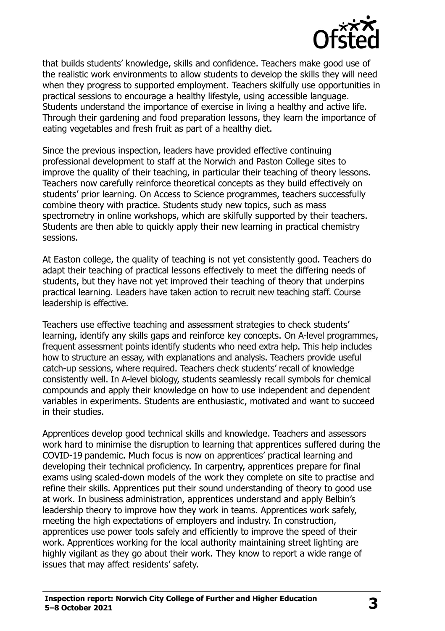

that builds students' knowledge, skills and confidence. Teachers make good use of the realistic work environments to allow students to develop the skills they will need when they progress to supported employment. Teachers skilfully use opportunities in practical sessions to encourage a healthy lifestyle, using accessible language. Students understand the importance of exercise in living a healthy and active life. Through their gardening and food preparation lessons, they learn the importance of eating vegetables and fresh fruit as part of a healthy diet.

Since the previous inspection, leaders have provided effective continuing professional development to staff at the Norwich and Paston College sites to improve the quality of their teaching, in particular their teaching of theory lessons. Teachers now carefully reinforce theoretical concepts as they build effectively on students' prior learning. On Access to Science programmes, teachers successfully combine theory with practice. Students study new topics, such as mass spectrometry in online workshops, which are skilfully supported by their teachers. Students are then able to quickly apply their new learning in practical chemistry sessions.

At Easton college, the quality of teaching is not yet consistently good. Teachers do adapt their teaching of practical lessons effectively to meet the differing needs of students, but they have not yet improved their teaching of theory that underpins practical learning. Leaders have taken action to recruit new teaching staff. Course leadership is effective.

Teachers use effective teaching and assessment strategies to check students' learning, identify any skills gaps and reinforce key concepts. On A-level programmes, frequent assessment points identify students who need extra help. This help includes how to structure an essay, with explanations and analysis. Teachers provide useful catch-up sessions, where required. Teachers check students' recall of knowledge consistently well. In A-level biology, students seamlessly recall symbols for chemical compounds and apply their knowledge on how to use independent and dependent variables in experiments. Students are enthusiastic, motivated and want to succeed in their studies.

Apprentices develop good technical skills and knowledge. Teachers and assessors work hard to minimise the disruption to learning that apprentices suffered during the COVID-19 pandemic. Much focus is now on apprentices' practical learning and developing their technical proficiency. In carpentry, apprentices prepare for final exams using scaled-down models of the work they complete on site to practise and refine their skills. Apprentices put their sound understanding of theory to good use at work. In business administration, apprentices understand and apply Belbin's leadership theory to improve how they work in teams. Apprentices work safely, meeting the high expectations of employers and industry. In construction, apprentices use power tools safely and efficiently to improve the speed of their work. Apprentices working for the local authority maintaining street lighting are highly vigilant as they go about their work. They know to report a wide range of issues that may affect residents' safety.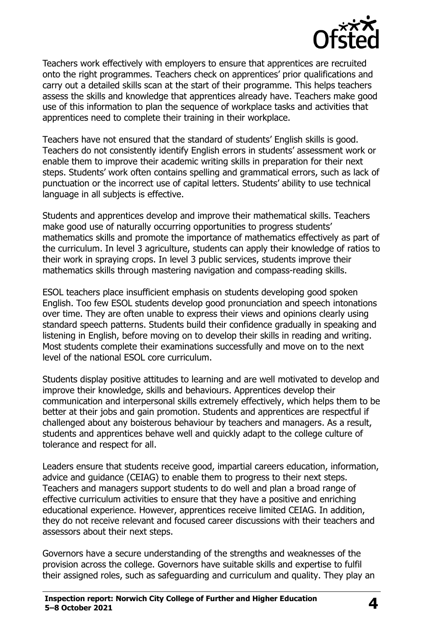

Teachers work effectively with employers to ensure that apprentices are recruited onto the right programmes. Teachers check on apprentices' prior qualifications and carry out a detailed skills scan at the start of their programme. This helps teachers assess the skills and knowledge that apprentices already have. Teachers make good use of this information to plan the sequence of workplace tasks and activities that apprentices need to complete their training in their workplace.

Teachers have not ensured that the standard of students' English skills is good. Teachers do not consistently identify English errors in students' assessment work or enable them to improve their academic writing skills in preparation for their next steps. Students' work often contains spelling and grammatical errors, such as lack of punctuation or the incorrect use of capital letters. Students' ability to use technical language in all subjects is effective.

Students and apprentices develop and improve their mathematical skills. Teachers make good use of naturally occurring opportunities to progress students' mathematics skills and promote the importance of mathematics effectively as part of the curriculum. In level 3 agriculture, students can apply their knowledge of ratios to their work in spraying crops. In level 3 public services, students improve their mathematics skills through mastering navigation and compass-reading skills.

ESOL teachers place insufficient emphasis on students developing good spoken English. Too few ESOL students develop good pronunciation and speech intonations over time. They are often unable to express their views and opinions clearly using standard speech patterns. Students build their confidence gradually in speaking and listening in English, before moving on to develop their skills in reading and writing. Most students complete their examinations successfully and move on to the next level of the national ESOL core curriculum.

Students display positive attitudes to learning and are well motivated to develop and improve their knowledge, skills and behaviours. Apprentices develop their communication and interpersonal skills extremely effectively, which helps them to be better at their jobs and gain promotion. Students and apprentices are respectful if challenged about any boisterous behaviour by teachers and managers. As a result, students and apprentices behave well and quickly adapt to the college culture of tolerance and respect for all.

Leaders ensure that students receive good, impartial careers education, information, advice and guidance (CEIAG) to enable them to progress to their next steps. Teachers and managers support students to do well and plan a broad range of effective curriculum activities to ensure that they have a positive and enriching educational experience. However, apprentices receive limited CEIAG. In addition, they do not receive relevant and focused career discussions with their teachers and assessors about their next steps.

Governors have a secure understanding of the strengths and weaknesses of the provision across the college. Governors have suitable skills and expertise to fulfil their assigned roles, such as safeguarding and curriculum and quality. They play an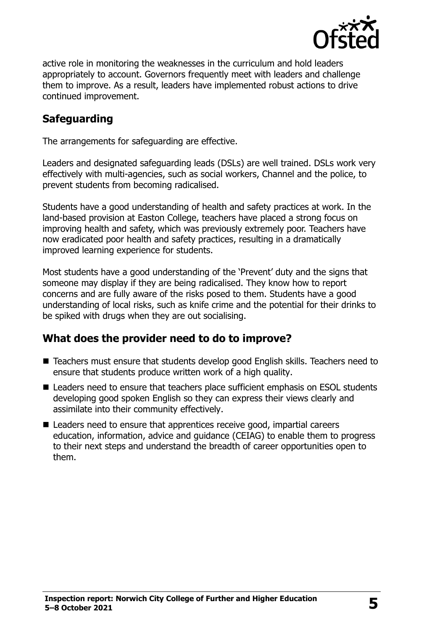

active role in monitoring the weaknesses in the curriculum and hold leaders appropriately to account. Governors frequently meet with leaders and challenge them to improve. As a result, leaders have implemented robust actions to drive continued improvement.

## **Safeguarding**

The arrangements for safeguarding are effective.

Leaders and designated safeguarding leads (DSLs) are well trained. DSLs work very effectively with multi-agencies, such as social workers, Channel and the police, to prevent students from becoming radicalised.

Students have a good understanding of health and safety practices at work. In the land-based provision at Easton College, teachers have placed a strong focus on improving health and safety, which was previously extremely poor. Teachers have now eradicated poor health and safety practices, resulting in a dramatically improved learning experience for students.

Most students have a good understanding of the 'Prevent' duty and the signs that someone may display if they are being radicalised. They know how to report concerns and are fully aware of the risks posed to them. Students have a good understanding of local risks, such as knife crime and the potential for their drinks to be spiked with drugs when they are out socialising.

### **What does the provider need to do to improve?**

- Teachers must ensure that students develop good English skills. Teachers need to ensure that students produce written work of a high quality.
- Leaders need to ensure that teachers place sufficient emphasis on ESOL students developing good spoken English so they can express their views clearly and assimilate into their community effectively.
- Leaders need to ensure that apprentices receive good, impartial careers education, information, advice and guidance (CEIAG) to enable them to progress to their next steps and understand the breadth of career opportunities open to them.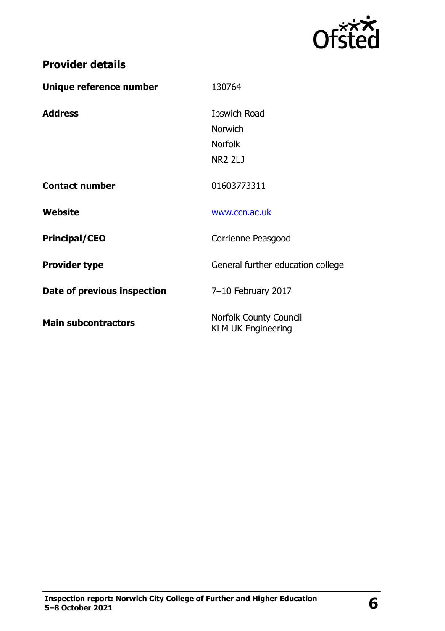

| Unique reference number     | 130764                                                     |
|-----------------------------|------------------------------------------------------------|
| <b>Address</b>              | Ipswich Road                                               |
|                             | Norwich                                                    |
|                             | <b>Norfolk</b>                                             |
|                             | <b>NR2 2LJ</b>                                             |
| <b>Contact number</b>       | 01603773311                                                |
| Website                     | www.ccn.ac.uk                                              |
| <b>Principal/CEO</b>        | Corrienne Peasgood                                         |
| <b>Provider type</b>        | General further education college                          |
| Date of previous inspection | 7-10 February 2017                                         |
| <b>Main subcontractors</b>  | <b>Norfolk County Council</b><br><b>KLM UK Engineering</b> |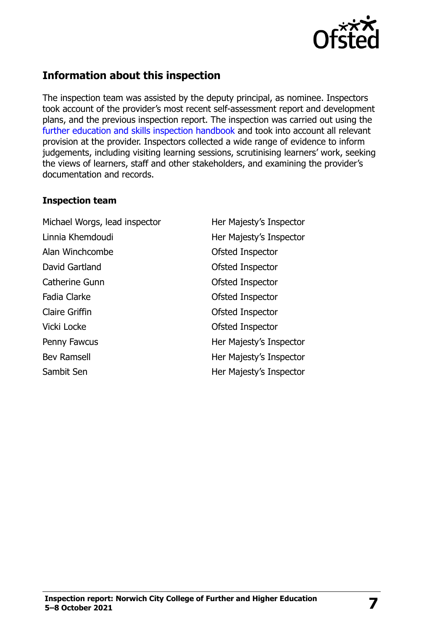

# **Information about this inspection**

The inspection team was assisted by the deputy principal, as nominee. Inspectors took account of the provider's most recent self-assessment report and development plans, and the previous inspection report. The inspection was carried out using the [further education and skills inspection handbook](http://www.gov.uk/government/publications/further-education-and-skills-inspection-handbook-eif) and took into account all relevant provision at the provider. Inspectors collected a wide range of evidence to inform judgements, including visiting learning sessions, scrutinising learners' work, seeking the views of learners, staff and other stakeholders, and examining the provider's documentation and records.

#### **Inspection team**

Michael Worgs, lead inspector Her Majesty's Inspector Linnia Khemdoudi Her Majesty's Inspector Alan Winchcombe **Ofsted Inspector** David Gartland **David Gartland Construction** Ofsted Inspector Catherine Gunn **Catherine Gunn Catherine Gunn** Fadia Clarke **Calculation** Construction Construction Construction Construction Construction Construction Construction Construction Construction Construction Construction Construction Construction Construction Construction Claire Griffin Claire Griffin Vicki Locke **Ofsted Inspector** Penny Fawcus **Her Majesty's Inspector** Bev Ramsell **Her Majesty's Inspector** Sambit Sen **Her Majesty's Inspector**